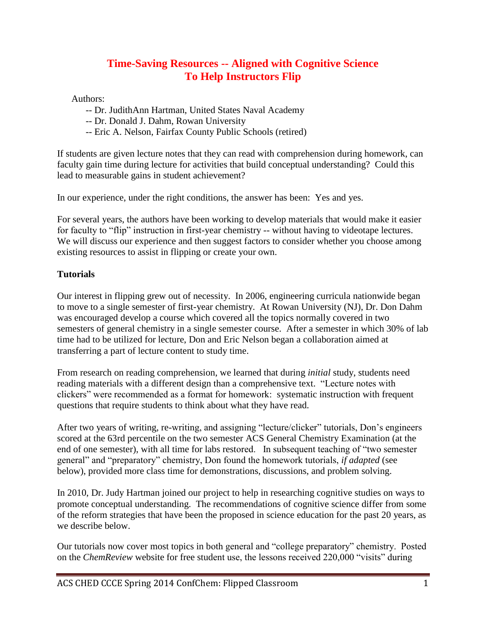# **Time-Saving Resources -- Aligned with Cognitive Science To Help Instructors Flip**

Authors:

- -- Dr. JudithAnn Hartman, United States Naval Academy
- -- Dr. Donald J. Dahm, Rowan University
- -- Eric A. Nelson, Fairfax County Public Schools (retired)

If students are given lecture notes that they can read with comprehension during homework, can faculty gain time during lecture for activities that build conceptual understanding? Could this lead to measurable gains in student achievement?

In our experience, under the right conditions, the answer has been: Yes and yes.

For several years, the authors have been working to develop materials that would make it easier for faculty to "flip" instruction in first-year chemistry -- without having to videotape lectures. We will discuss our experience and then suggest factors to consider whether you choose among existing resources to assist in flipping or create your own.

#### **Tutorials**

Our interest in flipping grew out of necessity. In 2006, engineering curricula nationwide began to move to a single semester of first-year chemistry. At Rowan University (NJ), Dr. Don Dahm was encouraged develop a course which covered all the topics normally covered in two semesters of general chemistry in a single semester course. After a semester in which 30% of lab time had to be utilized for lecture, Don and Eric Nelson began a collaboration aimed at transferring a part of lecture content to study time.

From research on reading comprehension, we learned that during *initial* study, students need reading materials with a different design than a comprehensive text. "Lecture notes with clickers" were recommended as a format for homework: systematic instruction with frequent questions that require students to think about what they have read.

After two years of writing, re-writing, and assigning "lecture/clicker" tutorials, Don's engineers scored at the 63rd percentile on the two semester ACS General Chemistry Examination (at the end of one semester), with all time for labs restored. In subsequent teaching of "two semester general" and "preparatory" chemistry, Don found the homework tutorials, *if adapted* (see below), provided more class time for demonstrations, discussions, and problem solving.

In 2010, Dr. Judy Hartman joined our project to help in researching cognitive studies on ways to promote conceptual understanding. The recommendations of cognitive science differ from some of the reform strategies that have been the proposed in science education for the past 20 years, as we describe below.

Our tutorials now cover most topics in both general and "college preparatory" chemistry. Posted on the *ChemReview* website for free student use, the lessons received 220,000 "visits" during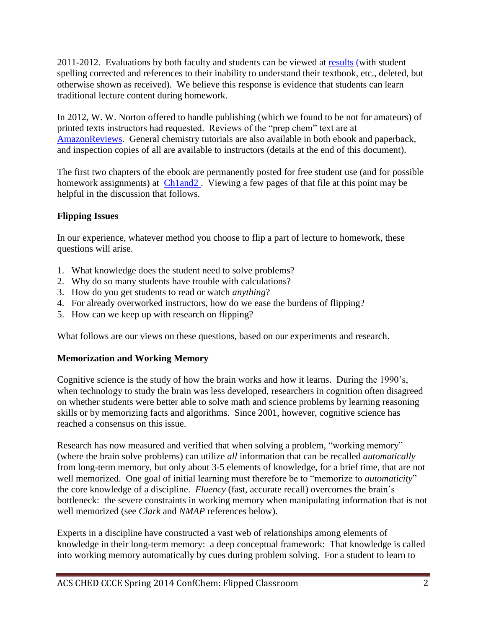2011-2012. Evaluations by both faculty and students can be viewed at [results](http://www.chemreview.net/results.htm) (with student spelling corrected and references to their inability to understand their textbook, etc., deleted, but otherwise shown as received). We believe this response is evidence that students can learn traditional lecture content during homework.

In 2012, W. W. Norton offered to handle publishing (which we found to be not for amateurs) of printed texts instructors had requested. Reviews of the "prep chem" text are at [AmazonReviews.](http://www.amazon.com/Calculations-Chemistry-Introduction-Donald-Dahm/dp/0393912868/) General chemistry tutorials are also available in both ebook and paperback, and inspection copies of all are available to instructors (details at the end of this document).

The first two chapters of the ebook are permanently posted for free student use (and for possible homework assignments) at **Ch1and2**. Viewing a few pages of that file at this point may be helpful in the discussion that follows.

## **Flipping Issues**

In our experience, whatever method you choose to flip a part of lecture to homework, these questions will arise.

- 1. What knowledge does the student need to solve problems?
- 2. Why do so many students have trouble with calculations?
- 3. How do you get students to read or watch *anything*?
- 4. For already overworked instructors, how do we ease the burdens of flipping?
- 5. How can we keep up with research on flipping?

What follows are our views on these questions, based on our experiments and research.

## **Memorization and Working Memory**

Cognitive science is the study of how the brain works and how it learns. During the 1990's, when technology to study the brain was less developed, researchers in cognition often disagreed on whether students were better able to solve math and science problems by learning reasoning skills or by memorizing facts and algorithms. Since 2001, however, cognitive science has reached a consensus on this issue.

Research has now measured and verified that when solving a problem, "working memory" (where the brain solve problems) can utilize *all* information that can be recalled *automatically* from long-term memory, but only about 3-5 elements of knowledge, for a brief time, that are not well memorized. One goal of initial learning must therefore be to "memorize to *automaticity*" the core knowledge of a discipline. *Fluency* (fast, accurate recall) overcomes the brain's bottleneck: the severe constraints in working memory when manipulating information that is not well memorized (see *Clark* and *NMAP* references below).

Experts in a discipline have constructed a vast web of relationships among elements of knowledge in their long-term memory: a deep conceptual framework: That knowledge is called into working memory automatically by cues during problem solving. For a student to learn to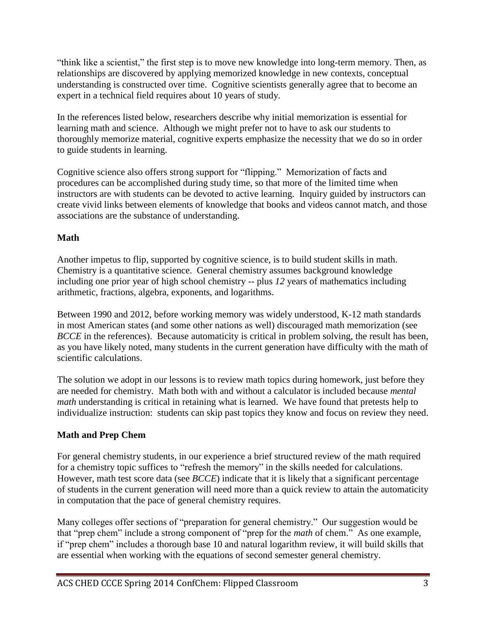"think like a scientist," the first step is to move new knowledge into long-term memory. Then, as relationships are discovered by applying memorized knowledge in new contexts, conceptual understanding is constructed over time. Cognitive scientists generally agree that to become an expert in a technical field requires about 10 years of study.

In the references listed below, researchers describe why initial memorization is essential for learning math and science. Although we might prefer not to have to ask our students to thoroughly memorize material, cognitive experts emphasize the necessity that we do so in order to guide students in learning.

Cognitive science also offers strong support for "flipping." Memorization of facts and procedures can be accomplished during study time, so that more of the limited time when instructors are with students can be devoted to active learning. Inquiry guided by instructors can create vivid links between elements of knowledge that books and videos cannot match, and those associations are the substance of understanding.

## **Math**

Another impetus to flip, supported by cognitive science, is to build student skills in math. Chemistry is a quantitative science. General chemistry assumes background knowledge including one prior year of high school chemistry -- plus *12* years of mathematics including arithmetic, fractions, algebra, exponents, and logarithms.

Between 1990 and 2012, before working memory was widely understood, K-12 math standards in most American states (and some other nations as well) discouraged math memorization (see *BCCE* in the references). Because automaticity is critical in problem solving, the result has been, as you have likely noted, many students in the current generation have difficulty with the math of scientific calculations.

The solution we adopt in our lessons is to review math topics during homework, just before they are needed for chemistry. Math both with and without a calculator is included because *mental math* understanding is critical in retaining what is learned. We have found that pretests help to individualize instruction: students can skip past topics they know and focus on review they need.

## **Math and Prep Chem**

For general chemistry students, in our experience a brief structured review of the math required for a chemistry topic suffices to "refresh the memory" in the skills needed for calculations. However, math test score data (see *BCCE*) indicate that it is likely that a significant percentage of students in the current generation will need more than a quick review to attain the automaticity in computation that the pace of general chemistry requires.

Many colleges offer sections of "preparation for general chemistry." Our suggestion would be that "prep chem" include a strong component of "prep for the *math* of chem." As one example, if "prep chem" includes a thorough base 10 and natural logarithm review, it will build skills that are essential when working with the equations of second semester general chemistry.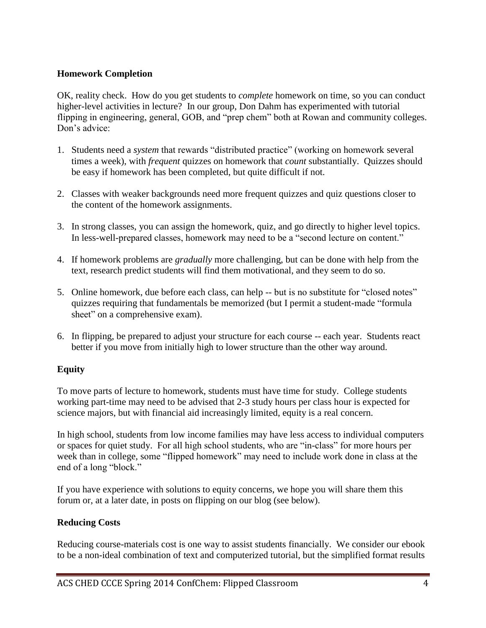#### **Homework Completion**

OK, reality check. How do you get students to *complete* homework on time, so you can conduct higher-level activities in lecture? In our group, Don Dahm has experimented with tutorial flipping in engineering, general, GOB, and "prep chem" both at Rowan and community colleges. Don's advice:

- 1. Students need a *system* that rewards "distributed practice" (working on homework several times a week), with *frequent* quizzes on homework that *count* substantially. Quizzes should be easy if homework has been completed, but quite difficult if not.
- 2. Classes with weaker backgrounds need more frequent quizzes and quiz questions closer to the content of the homework assignments.
- 3. In strong classes, you can assign the homework, quiz, and go directly to higher level topics. In less-well-prepared classes, homework may need to be a "second lecture on content."
- 4. If homework problems are *gradually* more challenging, but can be done with help from the text, research predict students will find them motivational, and they seem to do so.
- 5. Online homework, due before each class, can help -- but is no substitute for "closed notes" quizzes requiring that fundamentals be memorized (but I permit a student-made "formula sheet" on a comprehensive exam).
- 6. In flipping, be prepared to adjust your structure for each course -- each year. Students react better if you move from initially high to lower structure than the other way around.

## **Equity**

To move parts of lecture to homework, students must have time for study. College students working part-time may need to be advised that 2-3 study hours per class hour is expected for science majors, but with financial aid increasingly limited, equity is a real concern.

In high school, students from low income families may have less access to individual computers or spaces for quiet study. For all high school students, who are "in-class" for more hours per week than in college, some "flipped homework" may need to include work done in class at the end of a long "block."

If you have experience with solutions to equity concerns, we hope you will share them this forum or, at a later date, in posts on flipping on our blog (see below).

#### **Reducing Costs**

Reducing course-materials cost is one way to assist students financially. We consider our ebook to be a non-ideal combination of text and computerized tutorial, but the simplified format results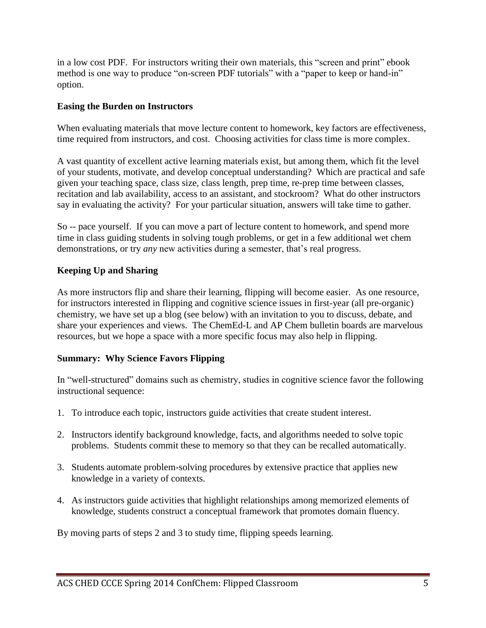in a low cost PDF. For instructors writing their own materials, this "screen and print" ebook method is one way to produce "on-screen PDF tutorials" with a "paper to keep or hand-in" option.

#### **Easing the Burden on Instructors**

When evaluating materials that move lecture content to homework, key factors are effectiveness, time required from instructors, and cost. Choosing activities for class time is more complex.

A vast quantity of excellent active learning materials exist, but among them, which fit the level of your students, motivate, and develop conceptual understanding? Which are practical and safe given your teaching space, class size, class length, prep time, re-prep time between classes, recitation and lab availability, access to an assistant, and stockroom? What do other instructors say in evaluating the activity? For your particular situation, answers will take time to gather.

So -- pace yourself. If you can move a part of lecture content to homework, and spend more time in class guiding students in solving tough problems, or get in a few additional wet chem demonstrations, or try *any* new activities during a semester, that's real progress.

## **Keeping Up and Sharing**

As more instructors flip and share their learning, flipping will become easier. As one resource, for instructors interested in flipping and cognitive science issues in first-year (all pre-organic) chemistry, we have set up a blog (see below) with an invitation to you to discuss, debate, and share your experiences and views. The ChemEd-L and AP Chem bulletin boards are marvelous resources, but we hope a space with a more specific focus may also help in flipping.

## **Summary: Why Science Favors Flipping**

In "well-structured" domains such as chemistry, studies in cognitive science favor the following instructional sequence:

- 1. To introduce each topic, instructors guide activities that create student interest.
- 2. Instructors identify background knowledge, facts, and algorithms needed to solve topic problems. Students commit these to memory so that they can be recalled automatically.
- 3. Students automate problem-solving procedures by extensive practice that applies new knowledge in a variety of contexts.
- 4. As instructors guide activities that highlight relationships among memorized elements of knowledge, students construct a conceptual framework that promotes domain fluency.

By moving parts of steps 2 and 3 to study time, flipping speeds learning.